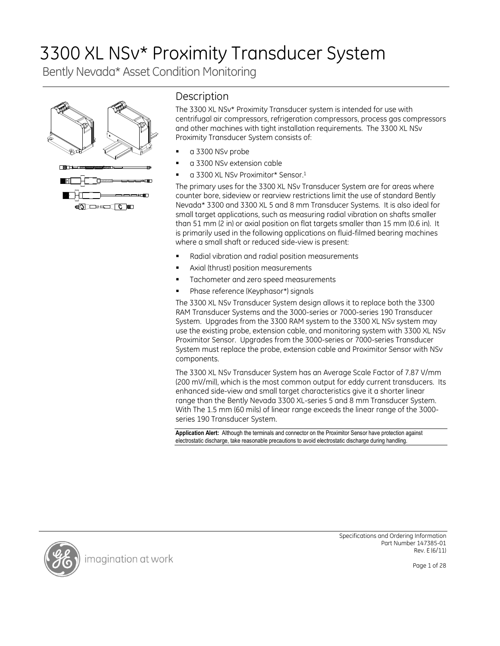# 3300 XL NSv\* Proximity Transducer System

Bently Nevada\* Asset Condition Monitoring



# **Description**

The 3300 XL NSv\* Proximity Transducer system is intended for use with centrifugal air compressors, refrigeration compressors, process gas compressors and other machines with tight installation requirements. The 3300 XL NSv Proximity Transducer System consists of:

- a 3300 NSv probe
- a 3300 NSv extension cable
- a 3300 XL NSv Proximitor\* Sensor.<sup>1</sup>

The primary uses for the 3300 XL NSv Transducer System are for areas where counter bore, sideview or rearview restrictions limit the use of standard Bently Nevada\* 3300 and 3300 XL 5 and 8 mm Transducer Systems. It is also ideal for small target applications, such as measuring radial vibration on shafts smaller than 51 mm (2 in) or axial position on flat targets smaller than 15 mm (0.6 in). It is primarily used in the following applications on fluid-filmed bearing machines where a small shaft or reduced side-view is present:

- Radial vibration and radial position measurements
- Axial (thrust) position measurements
- Tachometer and zero speed measurements
- Phase reference (Keyphasor\*) signals

The 3300 XL NSv Transducer System design allows it to replace both the 3300 RAM Transducer Systems and the 3000-series or 7000-series 190 Transducer System. Upgrades from the 3300 RAM system to the 3300 XL NSv system may use the existing probe, extension cable, and monitoring system with 3300 XL NSv Proximitor Sensor. Upgrades from the 3000-series or 7000-series Transducer System must replace the probe, extension cable and Proximitor Sensor with NSv components.

The 3300 XL NSv Transducer System has an Average Scale Factor of 7.87 V/mm (200 mV/mil), which is the most common output for eddy current transducers. Its enhanced side-view and small target characteristics give it a shorter linear range than the Bently Nevada 3300 XL-series 5 and 8 mm Transducer System. With The 1.5 mm (60 mils) of linear range exceeds the linear range of the 3000 series 190 Transducer System.

**Application Alert:** Although the terminals and connector on the Proximitor Sensor have protection against electrostatic discharge, take reasonable precautions to avoid electrostatic discharge during handling.



imagination at work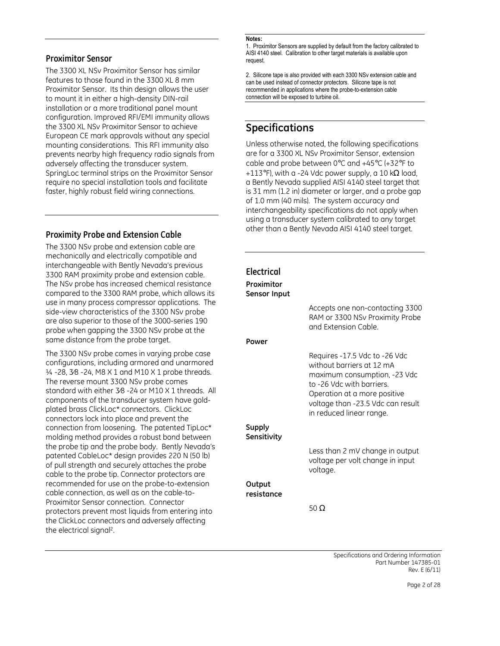## **Proximitor Sensor**

The 3300 XL NSv Proximitor Sensor has similar features to those found in the 3300 XL 8 mm Proximitor Sensor. Its thin design allows the user to mount it in either a high-density DIN-rail installation or a more traditional panel mount configuration. Improved RFI/EMI immunity allows the 3300 XL NSv Proximitor Sensor to achieve European CE mark approvals without any special mounting considerations. This RFI immunity also prevents nearby high frequency radio signals from adversely affecting the transducer system. SpringLoc terminal strips on the Proximitor Sensor require no special installation tools and facilitate faster, highly robust field wiring connections.

# **Proximity Probe and Extension Cable**

The 3300 NSv probe and extension cable are mechanically and electrically compatible and interchangeable with Bently Nevada's previous 3300 RAM proximity probe and extension cable. The NSv probe has increased chemical resistance compared to the 3300 RAM probe, which allows use in many process compressor applications. side-view characteristics of the 3300 NSv probe are also superior to those of the 3000-series 190 probe when gapping the 3300 NSv probe at the same distance from the probe target.

The 3300 NSv probe comes in varying probe cas configurations, including armored and unarmore 1/4 -28, 3/8 -24, M8 X 1 and M10 X 1 probe thread The reverse mount 3300 NSv probe comes standard with either 3⁄8 -24 or M10 X 1 threads. components of the transducer system have goldplated brass ClickLoc\* connectors. ClickLoc connectors lock into place and prevent the connection from loosening. The patented TipLoc\* molding method provides a robust bond between the probe tip and the probe body. Bently Nevada patented CableLoc\* design provides 220 N (50 lb of pull strength and securely attaches the probe cable to the probe tip. Connector protectors are recommended for use on the probe-to-extension cable connection, as well as on the cable-to-Proximitor Sensor connection. Connector protectors prevent most liquids from entering int the ClickLoc connectors and adversely affecting the electrical signal<sup>2</sup>.

#### **Notes:**

1. Proximitor Sensors are supplied by default from the factory calibrated to AISI 4140 steel. Calibration to other target materials is available upon request

2. Silicone tape is also provided with each 3300 NSv extension cable and can be used instead of connector protectors. Silicone tape is not recommended in applications where the probe-to-extension cable connection will be exposed to turbine oil.

# **Specifications**

Unless otherwise noted, the following specifications are for a 3300 XL NSv Proximitor Sensor, extension cable and probe between 0°C and +45°C (+32°F to +113°F), with a -24 Vdc power supply, a 10 k $\Omega$  load, a Bently Nevada supplied AISI 4140 steel target that is 31 mm (1.2 in) diameter or larger, and a probe gap of 1.0 mm (40 mils). The system accuracy and interchangeability specifications do not apply when using a transducer system calibrated to any target other than a Bently Nevada AISI 4140 steel target.

| ë<br>its<br>⊺he              | Electrical<br>Proximitor<br>Sensor Input | Accepts one non-contacting 3300<br>RAM or 3300 NSv Proximity Probe<br>and Extension Cable.                                                                                                                               |
|------------------------------|------------------------------------------|--------------------------------------------------------------------------------------------------------------------------------------------------------------------------------------------------------------------------|
|                              | Power                                    |                                                                                                                                                                                                                          |
| ïе<br>ed<br>ls.<br>All<br>ł- |                                          | Requires -17.5 Vdc to -26 Vdc<br>without barriers at 12 mA<br>maximum consumption, -23 Vdc<br>to -26 Vdc with barriers.<br>Operation at a more positive<br>voltage than -23.5 Vdc can result<br>in reduced linear range. |
| $\mathbf{C}^{\star}$<br>'n   | <b>Supply</b><br>Sensitivity             |                                                                                                                                                                                                                          |
| a's<br>(ر                    |                                          | Less than 2 mV change in output<br>voltage per volt change in input<br>voltage.                                                                                                                                          |
| n                            | Output<br>resistance                     |                                                                                                                                                                                                                          |
| to                           |                                          | 50 $\Omega$                                                                                                                                                                                                              |
|                              |                                          |                                                                                                                                                                                                                          |

Specifications and Ordering Information Part Number 147385-01 Rev. E (6/11)

Page 2 of 28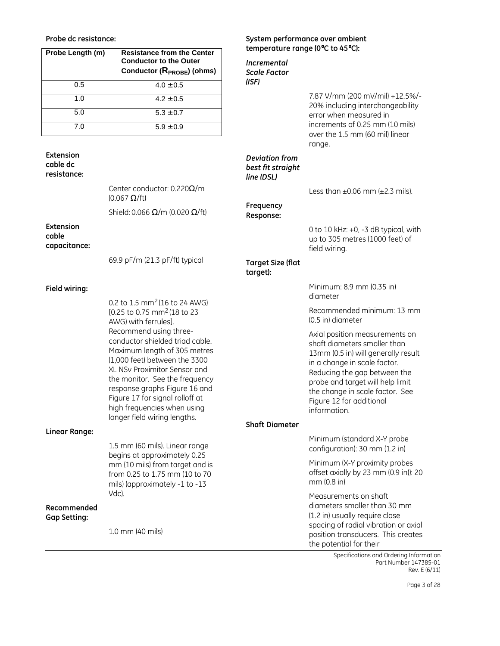#### **Probe dc resistance:**

| Probe Length (m) | <b>Resistance from the Center</b><br><b>Conductor to the Outer</b><br>Conductor (R <sub>PROBE</sub> ) (ohms) |
|------------------|--------------------------------------------------------------------------------------------------------------|
| 0.5              | $4.0 \pm 0.5$                                                                                                |
| 1. $\Omega$      | $4.2 \pm 0.5$                                                                                                |
| 5.0              | $5.3 \pm 0.7$                                                                                                |
| 7.0              | $5.9 \pm 0.9$                                                                                                |

**Extension cable dc resistance:** 

> Center conductor: 0.220Ω/m (0.067 Ω/ft)

Shield: 0.066  $\Omega/m$  (0.020  $\Omega/\text{ft}$ )

**Extension cable capacitance:** 

69.9 pF/m (21.3 pF/ft) typical

#### **Field wiring:**

**Linear Range:** 

**Recommended Gap Setting:** 

0.2 to 1.5 mm2 (16 to 24 AWG) [0.25 to 0.75 mm<sup>2</sup> (18 to 23 AWG) with ferrules]. Recommend using threeconductor shielded triad cable. Maximum length of 305 metres (1,000 feet) between the 3300 XL NSv Proximitor Sensor and the monitor. See the frequency response graphs Figure 16 and Figure 17 for signal rolloff at high frequencies when using longer field wiring lengths.

### **System performance over ambient temperature range (0**°**C to 45**°**C):**

*Incremental Scale Factor (ISF)* 

> 7.87 V/mm (200 mV/mil) +12.5%/- 20% including interchangeability error when measured in increments of 0.25 mm (10 mils) over the 1.5 mm (60 mil) linear range.

#### *Deviation from best fit straight line (DSL)*

Less than  $\pm 0.06$  mm ( $\pm 2.3$  mils).

**Frequency Response:** 

> 0 to 10 kHz: +0, -3 dB typical, with up to 305 metres (1000 feet) of field wiring.

#### **Target Size (flat target):**

Minimum: 8.9 mm (0.35 in) diameter

Recommended minimum: 13 mm (0.5 in) diameter

Axial position measurements on shaft diameters smaller than 13mm (0.5 in) will generally result in a change in scale factor. Reducing the gap between the probe and target will help limit the change in scale factor. See Figure 12 for additional information.

# **Shaft Diameter**

1.5 mm (60 mils). Linear range begins at approximately 0.25 mm (10 mils) from target and is from 0.25 to 1.75 mm (10 to 70 mils) (approximately -1 to -13 Vdc). 1.0 mm (40 mils) Minimum (standard X-Y probe configuration): 30 mm (1.2 in) Minimum (X-Y proximity probes offset axially by 23 mm (0.9 in)): 20 mm (0.8 in) Measurements on shaft diameters smaller than 30 mm (1.2 in) usually require close spacing of radial vibration or axial position transducers. This creates

> Specifications and Ordering Information Part Number 147385-01 Rev. E (6/11)

the potential for their

Page 3 of 28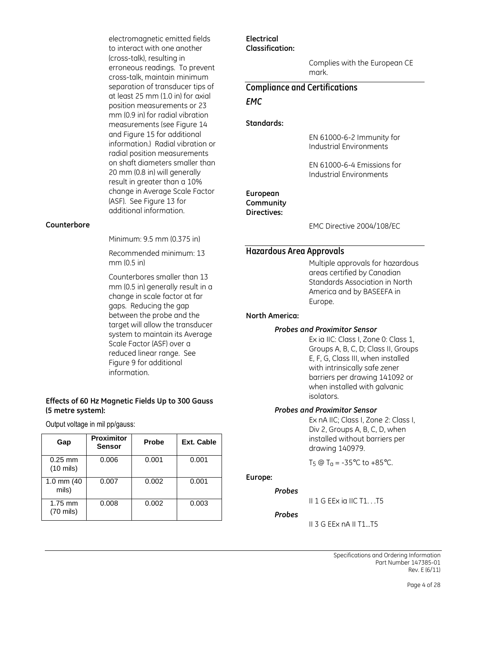electromagnetic emitted fields to interact with one another (cross-talk), resulting in erroneous readings. To prevent cross-talk, maintain minimum separation of transducer tips of at least 25 mm (1.0 in) for axial position measurements or 23 mm (0.9 in) for radial vibration measurements (see Figure 14 and Figure 15 for additional information.) Radial vibration or radial position measurements on shaft diameters smaller than 20 mm (0.8 in) will generally result in greater than a 10% change in Average Scale Factor (ASF). See Figure 13 for additional information.

#### **Counterbore**

Minimum: 9.5 mm (0.375 in)

Recommended minimum: 13 mm (0.5 in)

Counterbores smaller than 13 mm (0.5 in) generally result in a change in scale factor at far gaps. Reducing the gap between the probe and the target will allow the transducer system to maintain its Average Scale Factor (ASF) over a reduced linear range. See Figure 9 for additional information.

#### **Effects of 60 Hz Magnetic Fields Up to 300 Gauss (5 metre system):**

Output voltage in mil pp/gauss:

| Gap                               | <b>Proximitor</b><br><b>Sensor</b> | Probe | <b>Ext. Cable</b> |
|-----------------------------------|------------------------------------|-------|-------------------|
| $0.25$ mm<br>$(10 \text{ miles})$ | 0.006                              | 0.001 | 0.001             |
| 1.0 mm $(40)$<br>mils)            | 0.007                              | 0.002 | 0.001             |
| $1.75$ mm<br>$(70 \text{ miles})$ | 0.008                              | 0.002 | 0.003             |

#### **Electrical Classification:**

Complies with the European CE mark.

# **Compliance and Certifications**  *EMC*

#### **Standards:**

EN 61000-6-2 Immunity for Industrial Environments

EN 61000-6-4 Emissions for Industrial Environments

#### **European Community Directives:**

EMC Directive 2004/108/EC

#### **Hazardous Area Approvals**

Multiple approvals for hazardous areas certified by Canadian Standards Association in North America and by BASEEFA in Europe.

#### **North America:**

#### *Probes and Proximitor Sensor*

Ex ia IIC: Class I, Zone 0: Class 1, Groups A, B, C, D; Class II, Groups E, F, G, Class III, when installed with intrinsically safe zener barriers per drawing 141092 or when installed with galvanic isolators.

#### *Probes and Proximitor Sensor*

Ex nA IIC; Class I, Zone 2: Class I, Div 2, Groups A, B, C, D, when installed without barriers per drawing 140979.

T<sub>5</sub> @ T<sub>a</sub> = -35°C to +85°C.

### **Europe:**

#### *Probes*

II 1 G EEx ia IIC T1. . .T5

#### *Probes*

II 3 G EEx nA II T1...T5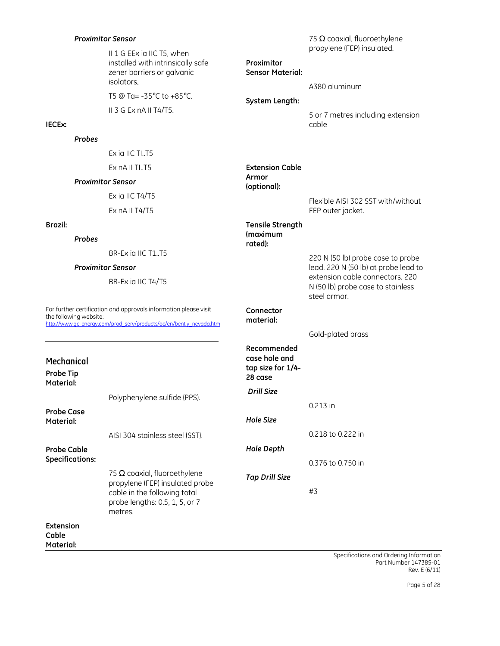| <b>Proximitor Sensor</b> |               |                                                                                                             |                                       | 75 $\Omega$ coaxial, fluoroethylene         |  |
|--------------------------|---------------|-------------------------------------------------------------------------------------------------------------|---------------------------------------|---------------------------------------------|--|
|                          |               | II 1 G EEx ia IIC T5, when<br>installed with intrinsically safe<br>zener barriers or galvanic<br>isolators, | Proximitor<br><b>Sensor Material:</b> | propylene (FEP) insulated.<br>A380 aluminum |  |
|                          |               | T5 @ Ta= $-35^{\circ}$ C to $+85^{\circ}$ C.                                                                | System Length:                        |                                             |  |
| IECEx:                   |               | $II$ 3 G Ex nA II T4/T5.                                                                                    |                                       | 5 or 7 metres including extension<br>cable  |  |
|                          | <b>Probes</b> |                                                                                                             |                                       |                                             |  |
|                          |               | Ex ia IIC TIT5                                                                                              |                                       |                                             |  |
|                          |               | Ex nA II TIT5                                                                                               | <b>Extension Cable</b>                |                                             |  |
| <b>Proximitor Sensor</b> |               | Armor<br>(optional):                                                                                        |                                       |                                             |  |
|                          |               | Ex ia IIC T4/T5                                                                                             |                                       | Flexible AISI 302 SST with/without          |  |
|                          |               | Ex $nA \parallel T4/T5$                                                                                     |                                       | FEP outer jacket.                           |  |

**Tensile Strength (maximum rated):** 

#### **Brazil:**

**Material:** 

*Probes* 

BR-Ex ia IIC T1..T5

#### *Proximitor Sensor*

BR-Ex ia IIC T4/T5

the following website:

For further certification and approvals information please visit http://www.ge-energy.com/prod\_serv/products/oc/en/bently\_nevada.htm N (50 lb) probe case to stainless steel armor. **Connector material:**  Gold-plated brass **Recommended** 

| Mechanical<br>Probe Tip<br>Material: |                                                                           | case hole and<br>tap size for 1/4-<br>28 case |                   |
|--------------------------------------|---------------------------------------------------------------------------|-----------------------------------------------|-------------------|
|                                      | Polyphenylene sulfide (PPS).                                              | Drill Size                                    |                   |
| <b>Probe Case</b>                    |                                                                           |                                               | $0.213$ in        |
| Material:                            |                                                                           | Hole Size                                     |                   |
|                                      | AISI 304 stainless steel (SST).                                           |                                               | 0.218 to 0.222 in |
| <b>Probe Cable</b>                   |                                                                           | Hole Depth                                    |                   |
| <b>Specifications:</b>               |                                                                           |                                               | 0.376 to 0.750 in |
|                                      | 75 $\Omega$ coaxial, fluoroethylene<br>propylene (FEP) insulated probe    | <b>Tap Drill Size</b>                         |                   |
|                                      | cable in the following total<br>probe lengths: 0.5, 1, 5, or 7<br>metres. |                                               | #3                |
| Extension<br>Cable                   |                                                                           |                                               |                   |

#### Specifications and Ordering Information Part Number 147385-01 Rev. E (6/11)

220 N (50 lb) probe case to probe lead. 220 N (50 lb) at probe lead to extension cable connectors. 220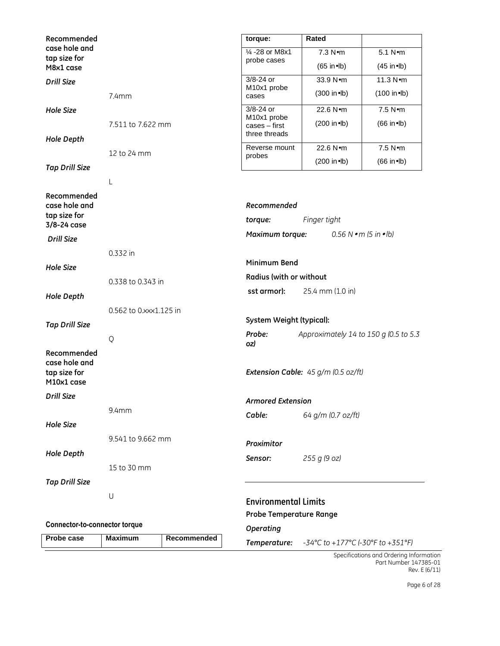| Recommended                                                |                                                    |             | torque:                                       | Rated                                      |                                    |
|------------------------------------------------------------|----------------------------------------------------|-------------|-----------------------------------------------|--------------------------------------------|------------------------------------|
| case hole and<br>tap size for                              |                                                    |             | 1⁄4 -28 or M8x1                               | 7.3 Nom                                    | 5.1 Nom                            |
| M8x1 case                                                  |                                                    |             | probe cases                                   | $(65$ in•lb)                               | $(45$ in•lb)                       |
| <b>Drill Size</b>                                          |                                                    |             | 3/8-24 or                                     | 33.9 Nom                                   | 11.3 Nom                           |
|                                                            | 7.4mm                                              |             | M <sub>10x1</sub> probe<br>cases              | $(300 \text{ in} \bullet \text{lb})$       | $(100$ in•lb)                      |
| <b>Hole Size</b>                                           |                                                    |             | $3/8-24$ or                                   | 22.6 Nom                                   | 7.5 N•m                            |
| <b>Hole Depth</b>                                          | 7.511 to 7.622 mm                                  |             | M10x1 probe<br>cases - first<br>three threads | (200 in•lb)                                | $(66$ in•lb)                       |
|                                                            |                                                    |             | Reverse mount                                 | 22.6 Nom                                   | $7.5$ N $\bullet$ m                |
|                                                            | 12 to 24 mm                                        |             | probes                                        | $(200 \text{ in} \bullet \text{lb})$       | $(66$ in•lb)                       |
| <b>Tap Drill Size</b>                                      |                                                    |             |                                               |                                            |                                    |
|                                                            | L                                                  |             |                                               |                                            |                                    |
| Recommended<br>case hole and                               |                                                    |             | Recommended                                   |                                            |                                    |
| tap size for<br>3/8-24 case                                |                                                    |             | torque:                                       | Finger tight                               |                                    |
| <b>Drill Size</b>                                          |                                                    |             | Maximum torque:                               |                                            | $0.56 N \cdot m$ (5 in $\cdot$ lb) |
|                                                            | 0.332 in                                           |             |                                               |                                            |                                    |
| <b>Hole Size</b>                                           |                                                    |             | Minimum Bend                                  |                                            |                                    |
|                                                            | 0.338 to 0.343 in                                  |             | Radius (with or without                       |                                            |                                    |
| <b>Hole Depth</b>                                          |                                                    |             | sst armor):                                   | 25.4 mm (1.0 in)                           |                                    |
|                                                            |                                                    |             |                                               |                                            |                                    |
|                                                            | 0.562 to 0.xxx1.125 in<br>System Weight (typical): |             |                                               |                                            |                                    |
| <b>Tap Drill Size</b>                                      | Probe:                                             |             | Approximately 14 to 150 g (0.5 to 5.3         |                                            |                                    |
|                                                            | Q                                                  |             | oz)                                           |                                            |                                    |
| Recommended<br>case hole and<br>tap size for<br>M10x1 case |                                                    |             |                                               | <b>Extension Cable:</b> 45 g/m (0.5 oz/ft) |                                    |
| <b>Drill Size</b>                                          |                                                    |             | <b>Armored Extension</b>                      |                                            |                                    |
|                                                            | 9.4mm                                              |             | Cable:                                        | 64 g/m (0.7 oz/ft)                         |                                    |
| <b>Hole Size</b>                                           |                                                    |             |                                               |                                            |                                    |
|                                                            | 9.541 to 9.662 mm                                  |             | Proximitor                                    |                                            |                                    |
| <b>Hole Depth</b>                                          |                                                    |             | Sensor:                                       | 255 g (9 oz)                               |                                    |
|                                                            | 15 to 30 mm                                        |             |                                               |                                            |                                    |
| <b>Tap Drill Size</b>                                      |                                                    |             |                                               |                                            |                                    |
|                                                            | U                                                  |             |                                               |                                            |                                    |
|                                                            |                                                    |             | <b>Environmental Limits</b>                   |                                            |                                    |
| <b>Connector-to-connector torque</b>                       |                                                    |             | <b>Probe Temperature Range</b>                |                                            |                                    |
| Probe case                                                 | <b>Maximum</b>                                     | Recommended | <b>Operating</b>                              |                                            |                                    |
|                                                            |                                                    |             | Temperature:                                  | -34°C to +177°C (-30°F to +351°F)          |                                    |

Specifications and Ordering Information Part Number 147385-01 Rev. E (6/11)

Page 6 of 28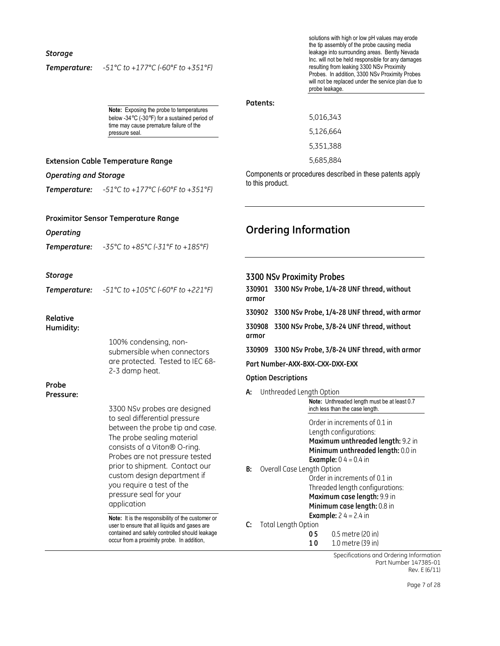#### *Storage*

### *Temperature: -51°C to +177°C (-60°F to +351°F)*

*Temperature: -51°C to +177°C (-60°F to +351°F)* 

*Temperature: -35°C to +85°C (-31°F to +185°F)* 

**Extension Cable Temperature Range** 

**Proximitor Sensor Temperature Range** 

*Operating and Storage* 

*Operating* 

solutions with high or low pH values may erode the tip assembly of the probe causing media leakage into surrounding areas. Bently Nevada Inc. will not be held responsible for any damages resulting from leaking 3300 NSv Proximity Probes. In addition, 3300 NSv Proximity Probes will not be replaced under the service plan due to probe leakage.

**Note:** Exposing the probe to temperatures below -34°C (-30°F) for a sustained period of time may cause premature failure of the pressure seal.

# **Patents:**

5,016,343 5,126,664 5,351,388 5,685,884

Components or procedures described in these patents apply to this product.

# **Ordering Information**

| <b>Storage</b><br>Temperature: | $-51^{\circ}$ C to $+105^{\circ}$ C (-60°F to +221°F)                                                                                                                                                                                                                                                                                                                                                                                                                                                                                         | 3300 NSv Proximity Probes<br>330901 3300 NSv Probe, 1/4-28 UNF thread, without<br>armor                                                                                                                                                                                                                                                                                                                                                                                                                                                                                                   |
|--------------------------------|-----------------------------------------------------------------------------------------------------------------------------------------------------------------------------------------------------------------------------------------------------------------------------------------------------------------------------------------------------------------------------------------------------------------------------------------------------------------------------------------------------------------------------------------------|-------------------------------------------------------------------------------------------------------------------------------------------------------------------------------------------------------------------------------------------------------------------------------------------------------------------------------------------------------------------------------------------------------------------------------------------------------------------------------------------------------------------------------------------------------------------------------------------|
| Relative<br>Humidity:          | 100% condensing, non-<br>submersible when connectors<br>are protected. Tested to IEC 68-<br>2-3 damp heat.                                                                                                                                                                                                                                                                                                                                                                                                                                    | 330902 3300 NSv Probe, 1/4-28 UNF thread, with armor<br>3300 NSv Probe, 3/8-24 UNF thread, without<br>330908<br>armor<br>3300 NSv Probe, 3/8-24 UNF thread, with armor<br>330909<br>Part Number-AXX-BXX-CXX-DXX-EXX<br><b>Option Descriptions</b>                                                                                                                                                                                                                                                                                                                                         |
| Probe<br>Pressure:             | 3300 NSv probes are designed<br>to seal differential pressure<br>between the probe tip and case.<br>The probe sealing material<br>consists of a Viton® O-ring.<br>Probes are not pressure tested<br>prior to shipment. Contact our<br>custom design department if<br>you require a test of the<br>pressure seal for your<br>application<br>Note: It is the responsibility of the customer or<br>user to ensure that all liquids and gases are<br>contained and safely controlled should leakage<br>occur from a proximity probe. In addition, | Unthreaded Length Option<br>А:<br>Note: Unthreaded length must be at least 0.7<br>inch less than the case length.<br>Order in increments of 0.1 in<br>Length configurations:<br>Maximum unthreaded length: 9.2 in<br>Minimum unthreaded length: 0.0 in<br><b>Example:</b> $0$ 4 = 0.4 in<br>Overall Case Length Option<br>B:<br>Order in increments of 0.1 in<br>Threaded length configurations:<br>Maximum case length: 9.9 in<br>Minimum case length: 0.8 in<br><b>Example:</b> $24 = 2.4$ in<br><b>Total Length Option</b><br>C:<br>0.5 metre (20 in)<br>05<br>1.0 metre (39 in)<br>10 |

Specifications and Ordering Information Part Number 147385-01 Rev. E (6/11)

Page 7 of 28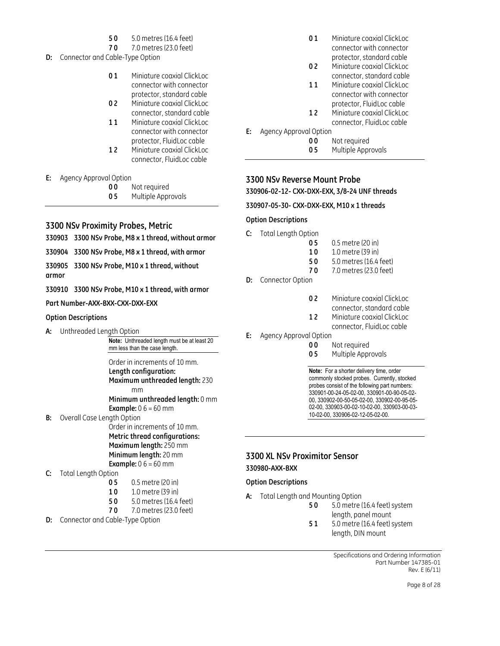- **5 0** 5.0 metres (16.4 feet)
- **7 0** 7.0 metres (23.0 feet)
- **D:** Connector and Cable-Type Option
	- **0 1** Miniature coaxial ClickLoc connector with connector protector, standard cable
	- **0 2** Miniature coaxial ClickLoc connector, standard cable
	- 11 Miniature coaxial ClickLoc connector with connector protector, FluidLoc cable
	- **1 2** Miniature coaxial ClickLoc connector, FluidLoc cable

#### **E:** Agency Approval Option

- **0 0** Not required
- **0 5** Multiple Approvals

# **3300 NSv Proximity Probes, Metric**

- **330903 3300 NSv Probe, M8 x 1 thread, without armor**
- **330904 3300 NSv Probe, M8 x 1 thread, with armor**
- **330905 3300 NSv Probe, M10 x 1 thread, without armor**
- **330910 3300 NSv Probe, M10 x 1 thread, with armor**
- **Part Number-AXX-BXX-CXX-DXX-EXX**

#### **Option Descriptions**

**A:** Unthreaded Length Option

**Note:** Unthreaded length must be at least 20 mm less than the case length.

Order in increments of 10 mm. **Length configuration: Maximum unthreaded length:** 230 mm

**Minimum unthreaded length:** 0 mm **Example:** 0 6 = 60 mm

**B:** Overall Case Length Option

Order in increments of 10 mm. **Metric thread configurations: Maximum length:** 250 mm **Minimum length:** 20 mm **Example:** 0 6 = 60 mm

- **C:** Total Length Option
	- **0 5** 0.5 metre (20 in)
	- **1 0** 1.0 metre (39 in)
	- **5 0** 5.0 metres (16.4 feet)
	- **7 0** 7.0 metres (23.0 feet)
- **D:** Connector and Cable-Type Option
- **01** Miniature coaxial ClickLoc connector with connector protector, standard cable
- **0 2** Miniature coaxial ClickLoc connector, standard cable
- 11 Miniature coaxial ClickLoc connector with connector protector, FluidLoc cable **1 2** Miniature coaxial ClickLoc
- connector, FluidLoc cable
- **E:** Agency Approval Option
	- **0 0** Not required
	- **0 5** Multiple Approvals

# **3300 NSv Reverse Mount Probe**

**330906-02-12- CXX-DXX-EXX, 3/8-24 UNF threads** 

**330907-05-30- CXX-DXX-EXX, M10 x 1 threads** 

#### **Option Descriptions**

- **C:** Total Length Option
	- **0 5** 0.5 metre (20 in)
	- **1 0** 1.0 metre (39 in)
	- **5 0** 5.0 metres (16.4 feet)
	- **7 0** 7.0 metres (23.0 feet)
- **D:** Connector Option
	- **0 2** Miniature coaxial ClickLoc
	- connector, standard cable
	- **1 2** Miniature coaxial ClickLoc
		- connector, FluidLoc cable
- **E:** Agency Approval Option
	- **00** Not required<br>**05** Multiple Appr
		- **0 5** Multiple Approvals

**Note:** For a shorter delivery time, order commonly stocked probes. Currently, stocked probes consist of the following part numbers: 330901-00-24-05-02-00, 330901-00-90-05-02- 00, 330902-00-50-05-02-00, 330902-00-95-05- 02-00, 330903-00-02-10-02-00, 330903-00-03- 10-02-00, 330906-02-12-05-02-00.

# **3300 XL NSv Proximitor Sensor 330980-AXX-BXX**

#### **Option Descriptions**

- **A:** Total Length and Mounting Option
	- **5 0** 5.0 metre (16.4 feet) system length, panel mount
	- **5 1** 5.0 metre (16.4 feet) system length, DIN mount

Specifications and Ordering Information Part Number 147385-01 Rev. E (6/11)

Page 8 of 28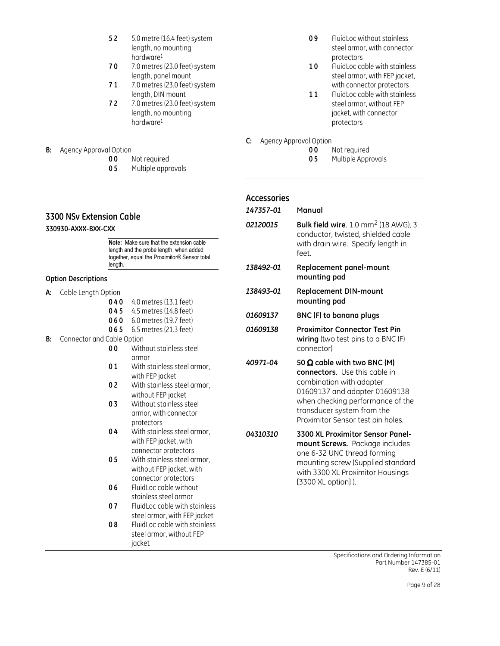- **5 2** 5.0 metre (16.4 feet) system length, no mounting hardware<sup>1</sup>
- **7 0** 7.0 metres (23.0 feet) system length, panel mount
- **7 1** 7.0 metres (23.0 feet) system length, DIN mount
- **7 2** 7.0 metres (23.0 feet) system length, no mounting hardware<sup>1</sup>
- **B:** Agency Approval Option
	- **0 0** Not required
		- **0 5** Multiple approvals

# **3300 NSv Extension Cable**

**330930-AXXX-BXX-CXX** 

**Note:** Make sure that the extension cable length and the probe length, when added together, equal the Proximitor® Sensor total length.

#### **Option Descriptions**

- **A:** Cable Length Option
	- **0 4 0** 4.0 metres (13.1 feet)
	- **0 4 5** 4.5 metres (14.8 feet)
	- **0 6 0** 6.0 metres (19.7 feet)
	- **0 6 5** 6.5 metres (21.3 feet)
- **B:** Connector and Cable Option
	- **0 0** Without stainless steel armor
	- **0 1** With stainless steel armor, with FEP jacket
	- **0 2** With stainless steel armor, without FEP jacket
	- **0 3** Without stainless steel armor, with connector protectors
	- **0 4** With stainless steel armor, with FEP jacket, with connector protectors
	- **0 5** With stainless steel armor, without FEP jacket, with connector protectors
	- **0 6** FluidLoc cable without stainless steel armor
	- **0 7** FluidLoc cable with stainless steel armor, with FEP jacket
	- **0 8** FluidLoc cable with stainless steel armor, without FEP jacket
- **0 9** FluidLoc without stainless steel armor, with connector protectors
- 10 FluidLoc cable with stainless steel armor, with FEP jacket, with connector protectors
- 11 FluidLoc cable with stainless steel armor, without FEP jacket, with connector protectors
- **C:** Agency Approval Option
	- **0 0** Not required
	- **0 5** Multiple Approvals

# **Accessories**

- *147357-01* **Manual**
- *02120015* **Bulk field wire**. 1.0 mm2 (18 AWG), 3 conductor, twisted, shielded cable with drain wire. Specify length in feet.
- *138492-01* **Replacement panel-mount mounting pad**
- *138493-01* **Replacement DIN-mount mounting pad**
- *01609137* **BNC (F) to banana plugs**
- *01609138* **Proximitor Connector Test Pin wiring** (two test pins to a BNC (F) connector)
- *40971-04* **50** Ω **cable with two BNC (M) connectors**. Use this cable in combination with adapter 01609137 and adapter 01609138 when checking performance of the transducer system from the Proximitor Sensor test pin holes.
- *04310310* **3300 XL Proximitor Sensor Panelmount Screws.** Package includes one 6-32 UNC thread forming mounting screw (Supplied standard with 3300 XL Proximitor Housings [3300 XL option] ).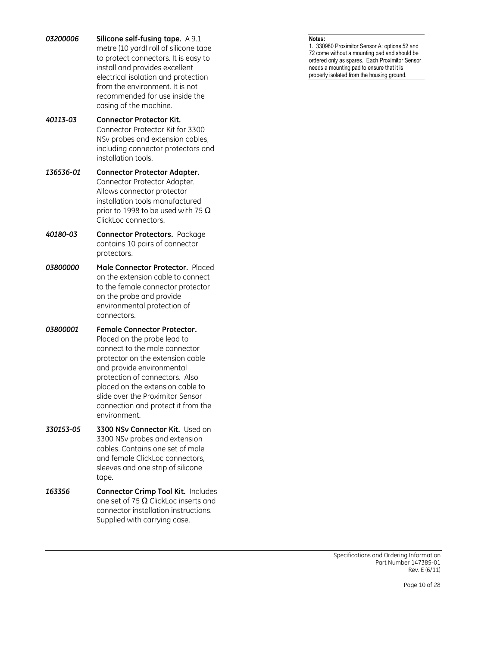*03200006* **Silicone self-fusing tape.** A 9.1 metre (10 yard) roll of silicone tape to protect connectors. It is easy to install and provides excellent electrical isolation and protection from the environment. It is not recommended for use inside the casing of the machine.

*40113-03* **Connector Protector Kit.** Connector Protector Kit for 3300 NSv probes and extension cables, including connector protectors and installation tools.

*136536-01* **Connector Protector Adapter.**  Connector Protector Adapter. Allows connector protector installation tools manufactured prior to 1998 to be used with 75  $\Omega$ ClickLoc connectors.

- *40180-03* **Connector Protectors.** Package contains 10 pairs of connector protectors.
- *03800000* **Male Connector Protector.** Placed on the extension cable to connect to the female connector protector on the probe and provide environmental protection of connectors.
- *03800001* **Female Connector Protector.** Placed on the probe lead to connect to the male connector protector on the extension cable and provide environmental protection of connectors. Also placed on the extension cable to slide over the Proximitor Sensor connection and protect it from the environment.
- *330153-05* **3300 NSv Connector Kit.** Used on 3300 NSv probes and extension cables. Contains one set of male and female ClickLoc connectors, sleeves and one strip of silicone tape.
- *163356* **Connector Crimp Tool Kit.** Includes one set of 75  $\Omega$  ClickLoc inserts and connector installation instructions. Supplied with carrying case.

1. 330980 Proximitor Sensor A: options 52 and 72 come without a mounting pad and should be ordered only as spares. Each Proximitor Sensor needs a mounting pad to ensure that it is properly isolated from the housing ground.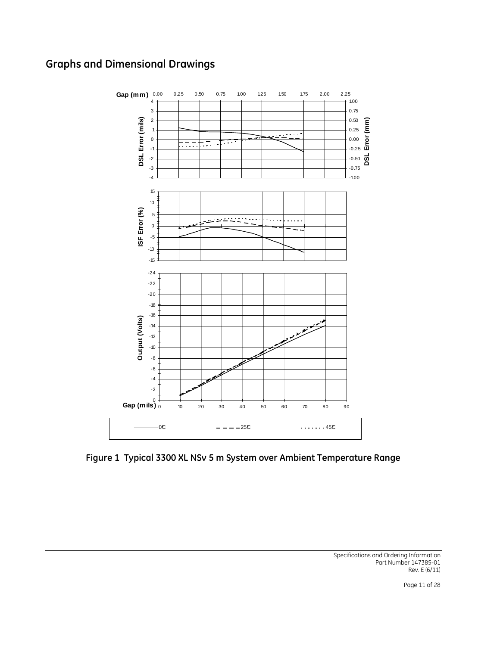# **Graphs and Dimensional Drawings**



**Figure 1 Typical 3300 XL NSv 5 m System over Ambient Temperature Range**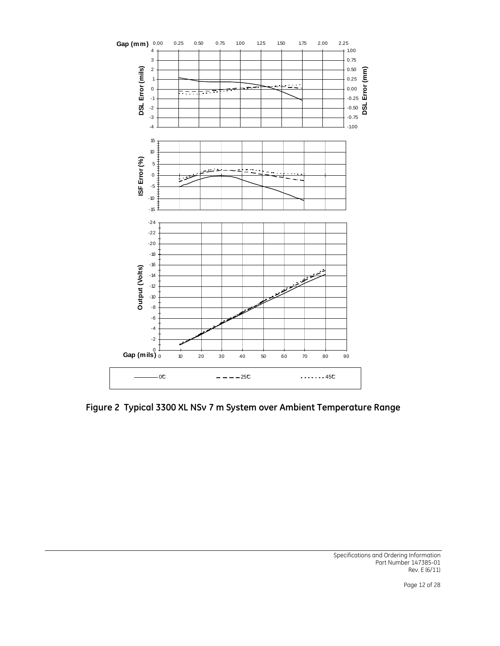

**Figure 2 Typical 3300 XL NSv 7 m System over Ambient Temperature Range**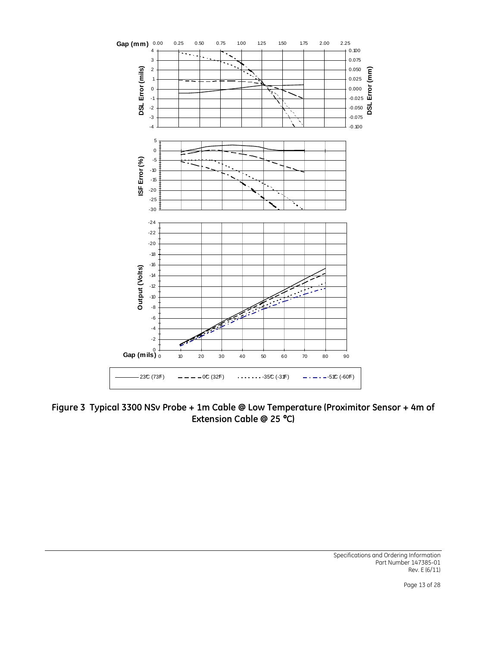

**Figure 3 Typical 3300 NSv Probe + 1m Cable @ Low Temperature (Proximitor Sensor + 4m of Extension Cable @ 25** °**C)**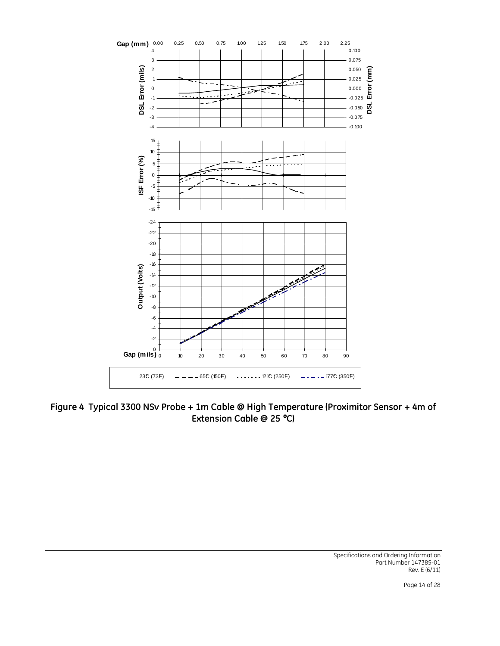

**Figure 4 Typical 3300 NSv Probe + 1m Cable @ High Temperature (Proximitor Sensor + 4m of Extension Cable @ 25** °**C)**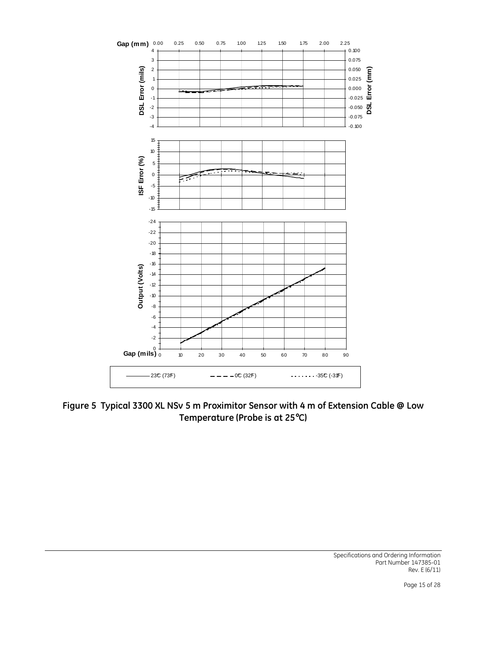

**Figure 5 Typical 3300 XL NSv 5 m Proximitor Sensor with 4 m of Extension Cable @ Low Temperature (Probe is at 25**°**C)**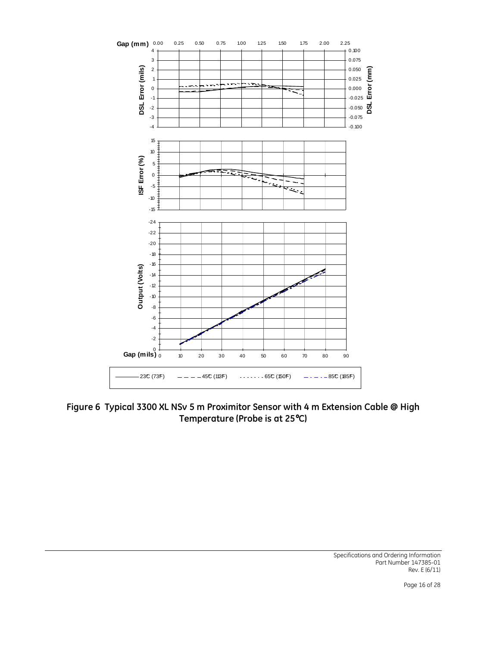

**Figure 6 Typical 3300 XL NSv 5 m Proximitor Sensor with 4 m Extension Cable @ High Temperature (Probe is at 25**°**C)**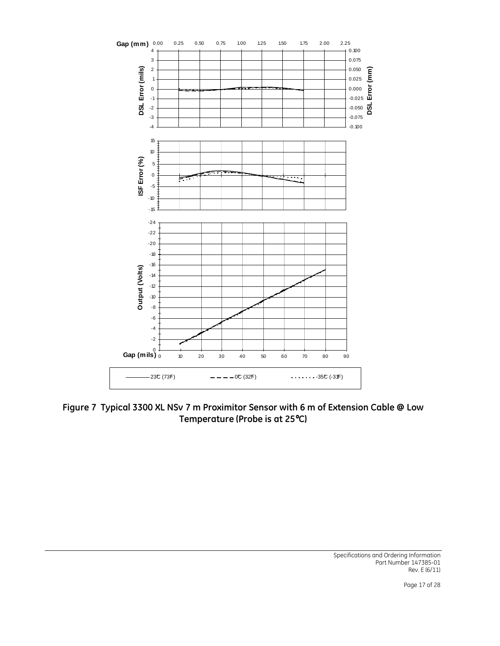![](_page_16_Figure_0.jpeg)

**Figure 7 Typical 3300 XL NSv 7 m Proximitor Sensor with 6 m of Extension Cable @ Low Temperature (Probe is at 25**°**C)**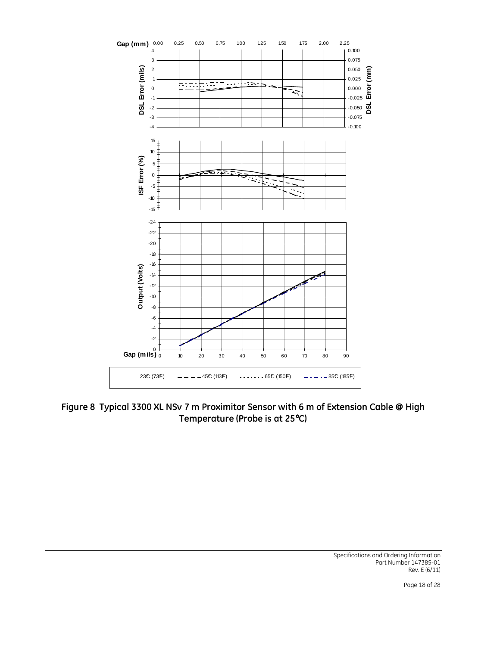![](_page_17_Figure_0.jpeg)

**Figure 8 Typical 3300 XL NSv 7 m Proximitor Sensor with 6 m of Extension Cable @ High Temperature (Probe is at 25**°**C)**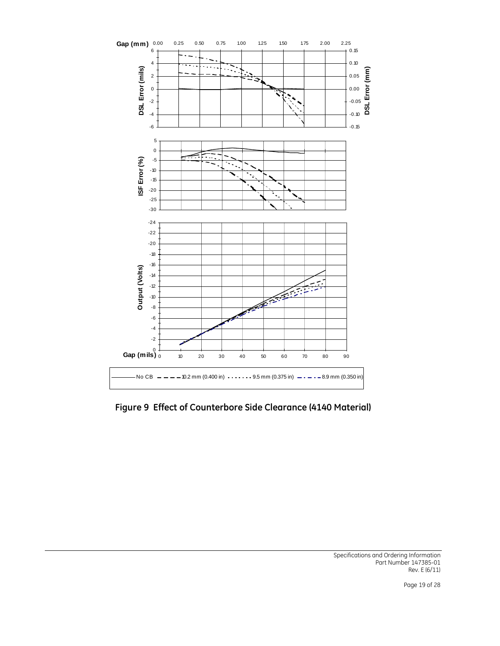![](_page_18_Figure_0.jpeg)

**Figure 9 Effect of Counterbore Side Clearance (4140 Material)**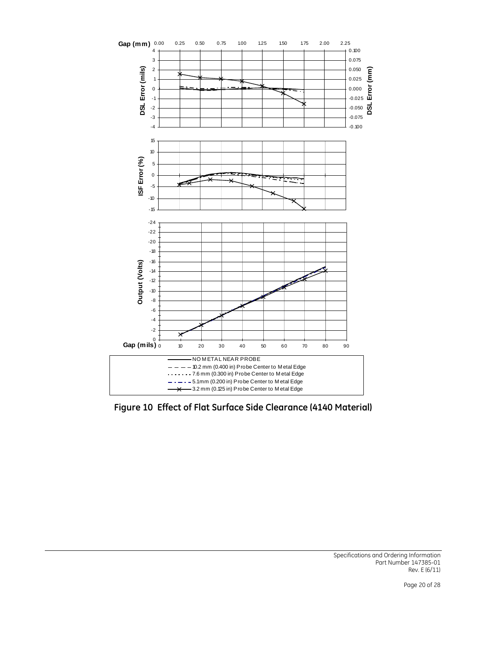![](_page_19_Figure_0.jpeg)

**Figure 10 Effect of Flat Surface Side Clearance (4140 Material)**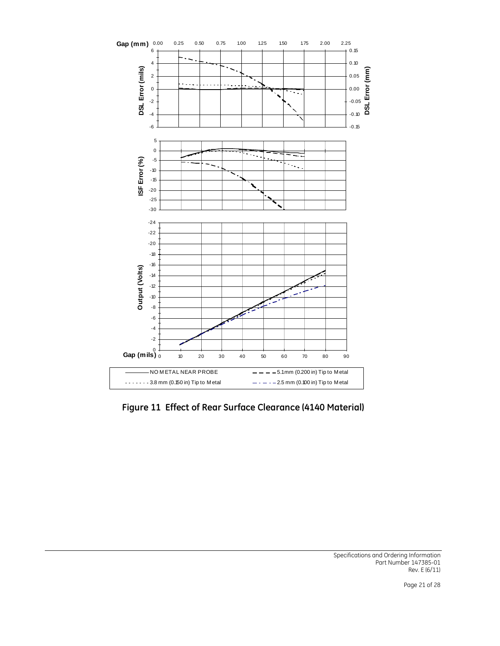![](_page_20_Figure_0.jpeg)

**Figure 11 Effect of Rear Surface Clearance (4140 Material)**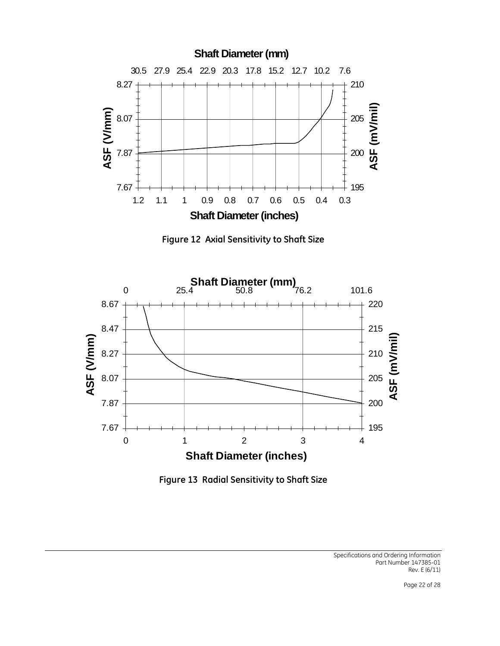![](_page_21_Figure_0.jpeg)

**Figure 12 Axial Sensitivity to Shaft Size** 

![](_page_21_Figure_2.jpeg)

![](_page_21_Figure_3.jpeg)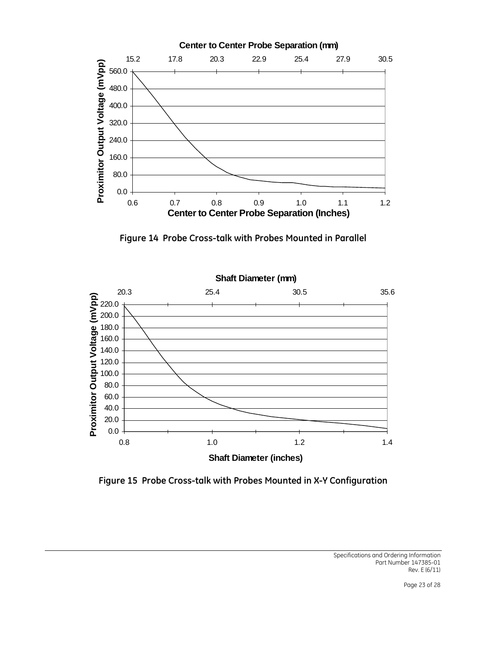![](_page_22_Figure_0.jpeg)

**Figure 14 Probe Cross-talk with Probes Mounted in Parallel** 

![](_page_22_Figure_2.jpeg)

**Figure 15 Probe Cross-talk with Probes Mounted in X-Y Configuration**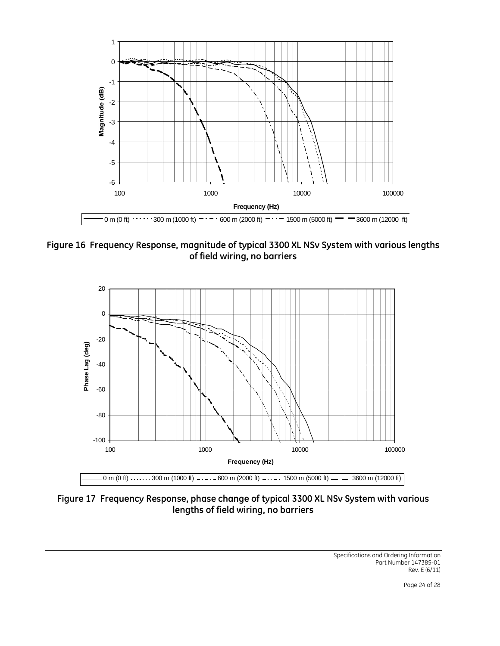![](_page_23_Figure_0.jpeg)

**Figure 16 Frequency Response, magnitude of typical 3300 XL NSv System with various lengths of field wiring, no barriers** 

![](_page_23_Figure_2.jpeg)

**Figure 17 Frequency Response, phase change of typical 3300 XL NSv System with various lengths of field wiring, no barriers**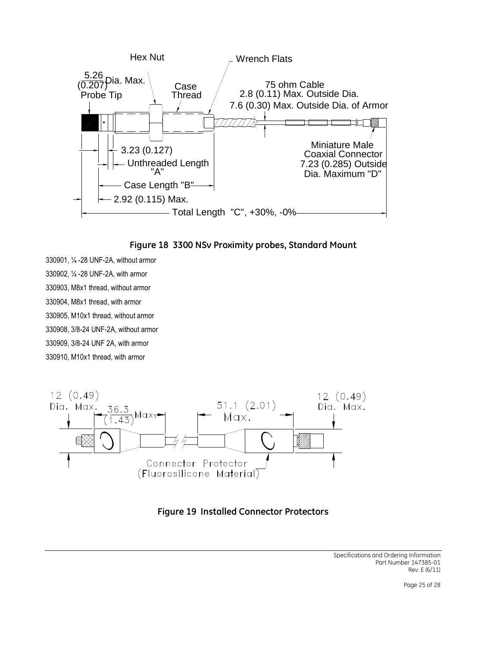![](_page_24_Figure_0.jpeg)

![](_page_24_Figure_1.jpeg)

330901, ¼ -28 UNF-2A, without armor 330902, ¼ -28 UNF-2A, with armor 330903, M8x1 thread, without armor 330904, M8x1 thread, with armor 330905, M10x1 thread, without armor 330908, 3/8-24 UNF-2A, without armor 330909, 3/8-24 UNF 2A, with armor 330910, M10x1 thread, with armor

![](_page_24_Figure_3.jpeg)

![](_page_24_Figure_4.jpeg)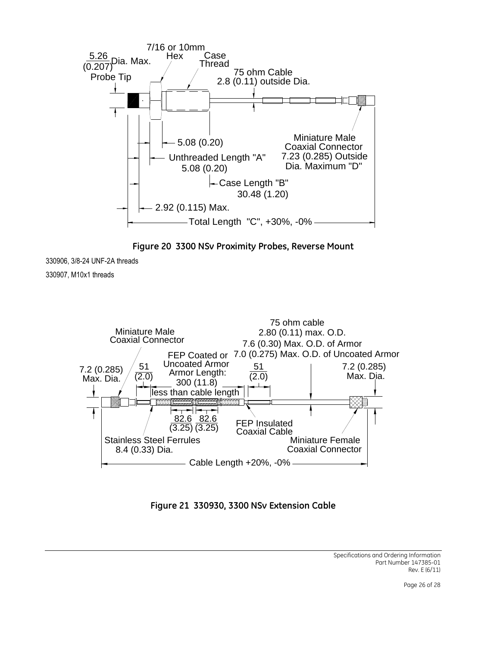![](_page_25_Figure_0.jpeg)

**Figure 20 3300 NSv Proximity Probes, Reverse Mount** 

330906, 3/8-24 UNF-2A threads

330907, M10x1 threads

![](_page_25_Figure_4.jpeg)

**Figure 21 330930, 3300 NSv Extension Cable**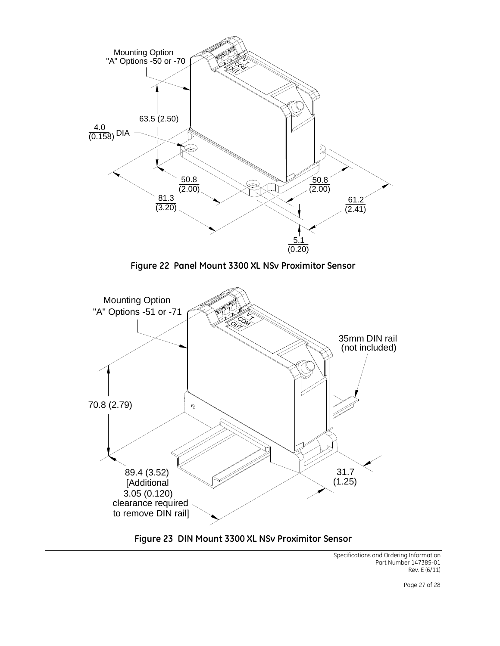![](_page_26_Figure_0.jpeg)

**Figure 22 Panel Mount 3300 XL NSv Proximitor Sensor** 

![](_page_26_Figure_2.jpeg)

# **Figure 23 DIN Mount 3300 XL NSv Proximitor Sensor**